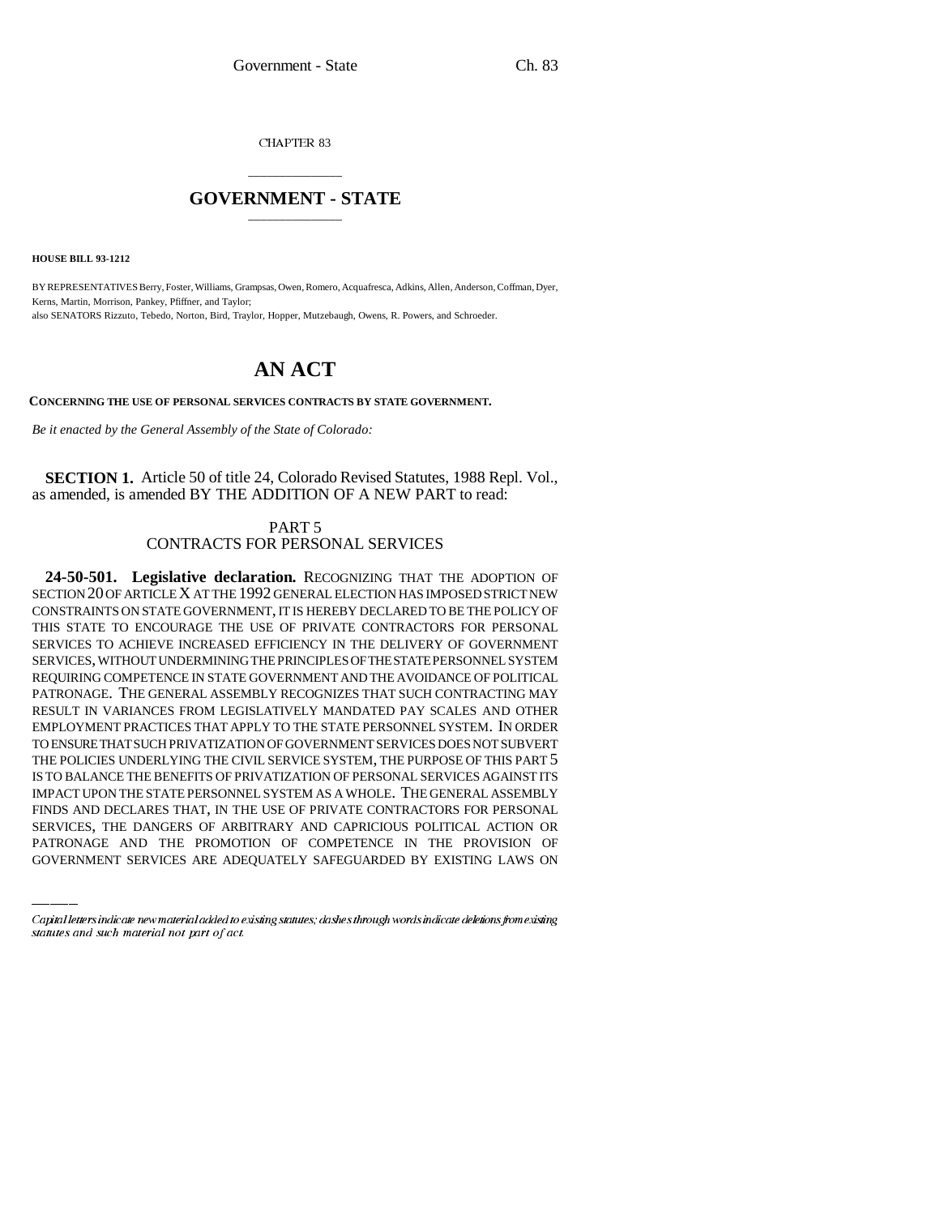CHAPTER 83

## \_\_\_\_\_\_\_\_\_\_\_\_\_\_\_ **GOVERNMENT - STATE** \_\_\_\_\_\_\_\_\_\_\_\_\_\_\_

**HOUSE BILL 93-1212**

BY REPRESENTATIVES Berry, Foster, Williams, Grampsas, Owen, Romero, Acquafresca, Adkins, Allen, Anderson, Coffman, Dyer, Kerns, Martin, Morrison, Pankey, Pfiffner, and Taylor; also SENATORS Rizzuto, Tebedo, Norton, Bird, Traylor, Hopper, Mutzebaugh, Owens, R. Powers, and Schroeder.

## **AN ACT**

**CONCERNING THE USE OF PERSONAL SERVICES CONTRACTS BY STATE GOVERNMENT.**

*Be it enacted by the General Assembly of the State of Colorado:*

**SECTION 1.** Article 50 of title 24, Colorado Revised Statutes, 1988 Repl. Vol., as amended, is amended BY THE ADDITION OF A NEW PART to read:

> PART 5 CONTRACTS FOR PERSONAL SERVICES

IMPACT UPON THE STATE PERSONNEL SYSTEM AS A WHOLE. THE GENERAL ASSEMBLY **24-50-501. Legislative declaration.** RECOGNIZING THAT THE ADOPTION OF SECTION 20 OF ARTICLE X AT THE 1992 GENERAL ELECTION HAS IMPOSED STRICT NEW CONSTRAINTS ON STATE GOVERNMENT, IT IS HEREBY DECLARED TO BE THE POLICY OF THIS STATE TO ENCOURAGE THE USE OF PRIVATE CONTRACTORS FOR PERSONAL SERVICES TO ACHIEVE INCREASED EFFICIENCY IN THE DELIVERY OF GOVERNMENT SERVICES, WITHOUT UNDERMINING THE PRINCIPLES OF THE STATE PERSONNEL SYSTEM REQUIRING COMPETENCE IN STATE GOVERNMENT AND THE AVOIDANCE OF POLITICAL PATRONAGE. THE GENERAL ASSEMBLY RECOGNIZES THAT SUCH CONTRACTING MAY RESULT IN VARIANCES FROM LEGISLATIVELY MANDATED PAY SCALES AND OTHER EMPLOYMENT PRACTICES THAT APPLY TO THE STATE PERSONNEL SYSTEM. IN ORDER TO ENSURE THAT SUCH PRIVATIZATION OF GOVERNMENT SERVICES DOES NOT SUBVERT THE POLICIES UNDERLYING THE CIVIL SERVICE SYSTEM, THE PURPOSE OF THIS PART 5 IS TO BALANCE THE BENEFITS OF PRIVATIZATION OF PERSONAL SERVICES AGAINST ITS FINDS AND DECLARES THAT, IN THE USE OF PRIVATE CONTRACTORS FOR PERSONAL SERVICES, THE DANGERS OF ARBITRARY AND CAPRICIOUS POLITICAL ACTION OR PATRONAGE AND THE PROMOTION OF COMPETENCE IN THE PROVISION OF GOVERNMENT SERVICES ARE ADEQUATELY SAFEGUARDED BY EXISTING LAWS ON

Capital letters indicate new material added to existing statutes; dashes through words indicate deletions from existing statutes and such material not part of act.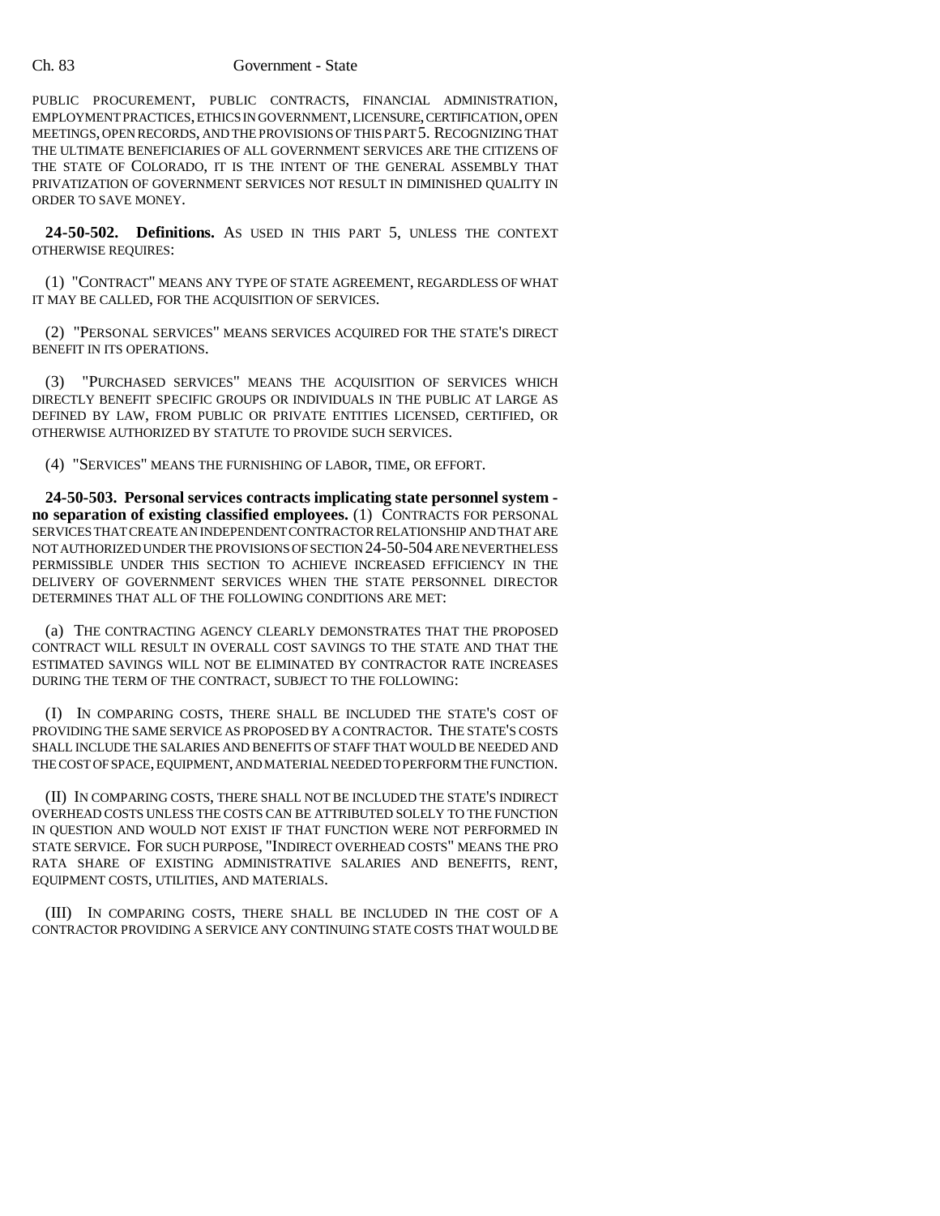PUBLIC PROCUREMENT, PUBLIC CONTRACTS, FINANCIAL ADMINISTRATION, EMPLOYMENT PRACTICES, ETHICS IN GOVERNMENT, LICENSURE, CERTIFICATION, OPEN MEETINGS, OPEN RECORDS, AND THE PROVISIONS OF THIS PART 5. RECOGNIZING THAT THE ULTIMATE BENEFICIARIES OF ALL GOVERNMENT SERVICES ARE THE CITIZENS OF THE STATE OF COLORADO, IT IS THE INTENT OF THE GENERAL ASSEMBLY THAT PRIVATIZATION OF GOVERNMENT SERVICES NOT RESULT IN DIMINISHED QUALITY IN ORDER TO SAVE MONEY.

**24-50-502. Definitions.** AS USED IN THIS PART 5, UNLESS THE CONTEXT OTHERWISE REQUIRES:

(1) "CONTRACT" MEANS ANY TYPE OF STATE AGREEMENT, REGARDLESS OF WHAT IT MAY BE CALLED, FOR THE ACQUISITION OF SERVICES.

(2) "PERSONAL SERVICES" MEANS SERVICES ACQUIRED FOR THE STATE'S DIRECT BENEFIT IN ITS OPERATIONS.

(3) "PURCHASED SERVICES" MEANS THE ACQUISITION OF SERVICES WHICH DIRECTLY BENEFIT SPECIFIC GROUPS OR INDIVIDUALS IN THE PUBLIC AT LARGE AS DEFINED BY LAW, FROM PUBLIC OR PRIVATE ENTITIES LICENSED, CERTIFIED, OR OTHERWISE AUTHORIZED BY STATUTE TO PROVIDE SUCH SERVICES.

(4) "SERVICES" MEANS THE FURNISHING OF LABOR, TIME, OR EFFORT.

**24-50-503. Personal services contracts implicating state personnel system no separation of existing classified employees.** (1) CONTRACTS FOR PERSONAL SERVICES THAT CREATE AN INDEPENDENT CONTRACTOR RELATIONSHIP AND THAT ARE NOT AUTHORIZED UNDER THE PROVISIONS OF SECTION 24-50-504 ARE NEVERTHELESS PERMISSIBLE UNDER THIS SECTION TO ACHIEVE INCREASED EFFICIENCY IN THE DELIVERY OF GOVERNMENT SERVICES WHEN THE STATE PERSONNEL DIRECTOR DETERMINES THAT ALL OF THE FOLLOWING CONDITIONS ARE MET:

(a) THE CONTRACTING AGENCY CLEARLY DEMONSTRATES THAT THE PROPOSED CONTRACT WILL RESULT IN OVERALL COST SAVINGS TO THE STATE AND THAT THE ESTIMATED SAVINGS WILL NOT BE ELIMINATED BY CONTRACTOR RATE INCREASES DURING THE TERM OF THE CONTRACT, SUBJECT TO THE FOLLOWING:

(I) IN COMPARING COSTS, THERE SHALL BE INCLUDED THE STATE'S COST OF PROVIDING THE SAME SERVICE AS PROPOSED BY A CONTRACTOR. THE STATE'S COSTS SHALL INCLUDE THE SALARIES AND BENEFITS OF STAFF THAT WOULD BE NEEDED AND THE COST OF SPACE, EQUIPMENT, AND MATERIAL NEEDED TO PERFORM THE FUNCTION.

(II) IN COMPARING COSTS, THERE SHALL NOT BE INCLUDED THE STATE'S INDIRECT OVERHEAD COSTS UNLESS THE COSTS CAN BE ATTRIBUTED SOLELY TO THE FUNCTION IN QUESTION AND WOULD NOT EXIST IF THAT FUNCTION WERE NOT PERFORMED IN STATE SERVICE. FOR SUCH PURPOSE, "INDIRECT OVERHEAD COSTS" MEANS THE PRO RATA SHARE OF EXISTING ADMINISTRATIVE SALARIES AND BENEFITS, RENT, EQUIPMENT COSTS, UTILITIES, AND MATERIALS.

(III) IN COMPARING COSTS, THERE SHALL BE INCLUDED IN THE COST OF A CONTRACTOR PROVIDING A SERVICE ANY CONTINUING STATE COSTS THAT WOULD BE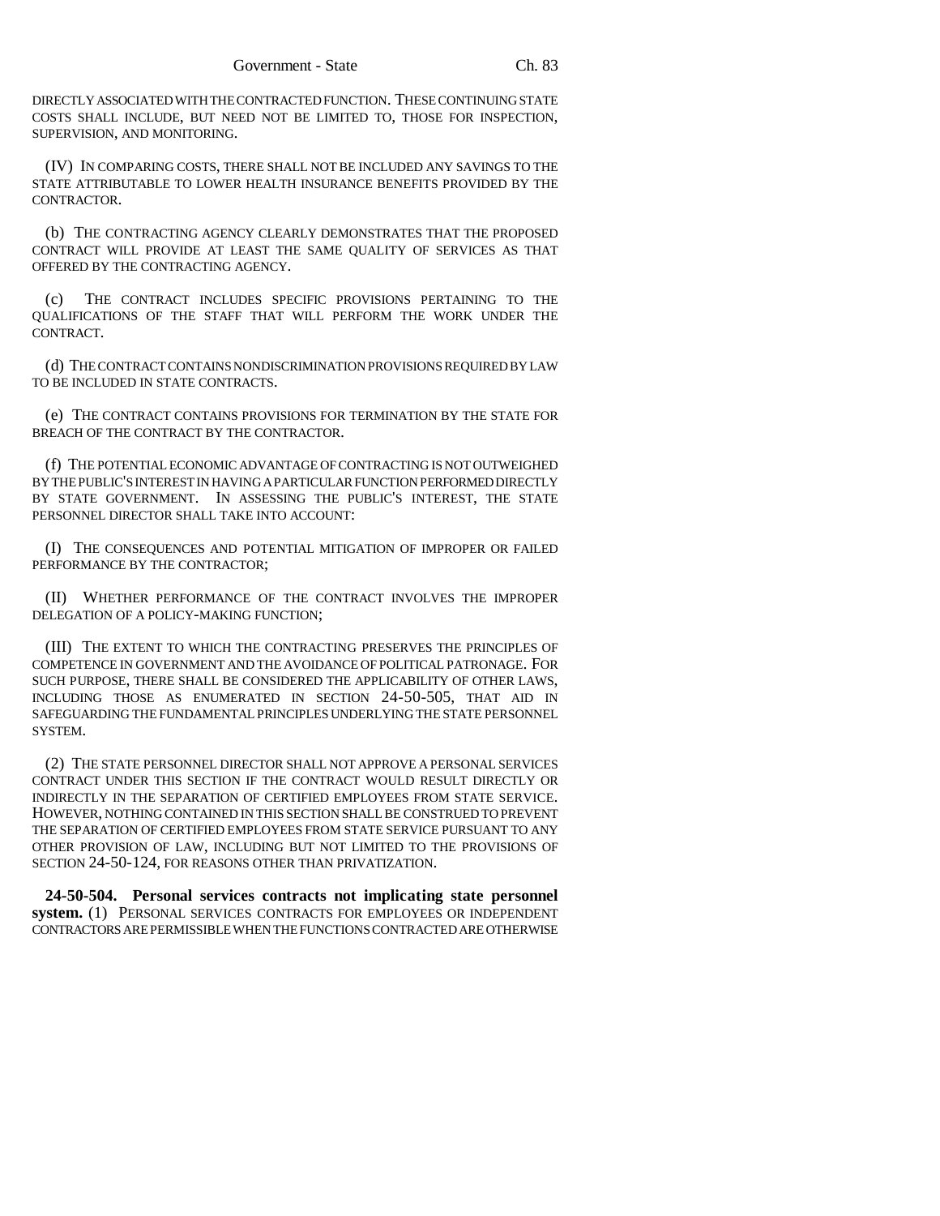DIRECTLY ASSOCIATED WITH THE CONTRACTED FUNCTION. THESE CONTINUING STATE COSTS SHALL INCLUDE, BUT NEED NOT BE LIMITED TO, THOSE FOR INSPECTION, SUPERVISION, AND MONITORING.

(IV) IN COMPARING COSTS, THERE SHALL NOT BE INCLUDED ANY SAVINGS TO THE STATE ATTRIBUTABLE TO LOWER HEALTH INSURANCE BENEFITS PROVIDED BY THE CONTRACTOR.

(b) THE CONTRACTING AGENCY CLEARLY DEMONSTRATES THAT THE PROPOSED CONTRACT WILL PROVIDE AT LEAST THE SAME QUALITY OF SERVICES AS THAT OFFERED BY THE CONTRACTING AGENCY.

(c) THE CONTRACT INCLUDES SPECIFIC PROVISIONS PERTAINING TO THE QUALIFICATIONS OF THE STAFF THAT WILL PERFORM THE WORK UNDER THE CONTRACT.

(d) THE CONTRACT CONTAINS NONDISCRIMINATION PROVISIONS REQUIRED BY LAW TO BE INCLUDED IN STATE CONTRACTS.

(e) THE CONTRACT CONTAINS PROVISIONS FOR TERMINATION BY THE STATE FOR BREACH OF THE CONTRACT BY THE CONTRACTOR.

(f) THE POTENTIAL ECONOMIC ADVANTAGE OF CONTRACTING IS NOT OUTWEIGHED BY THE PUBLIC'S INTEREST IN HAVING A PARTICULAR FUNCTION PERFORMED DIRECTLY BY STATE GOVERNMENT. IN ASSESSING THE PUBLIC'S INTEREST, THE STATE PERSONNEL DIRECTOR SHALL TAKE INTO ACCOUNT:

(I) THE CONSEQUENCES AND POTENTIAL MITIGATION OF IMPROPER OR FAILED PERFORMANCE BY THE CONTRACTOR;

(II) WHETHER PERFORMANCE OF THE CONTRACT INVOLVES THE IMPROPER DELEGATION OF A POLICY-MAKING FUNCTION;

(III) THE EXTENT TO WHICH THE CONTRACTING PRESERVES THE PRINCIPLES OF COMPETENCE IN GOVERNMENT AND THE AVOIDANCE OF POLITICAL PATRONAGE. FOR SUCH PURPOSE, THERE SHALL BE CONSIDERED THE APPLICABILITY OF OTHER LAWS, INCLUDING THOSE AS ENUMERATED IN SECTION 24-50-505, THAT AID IN SAFEGUARDING THE FUNDAMENTAL PRINCIPLES UNDERLYING THE STATE PERSONNEL SYSTEM.

(2) THE STATE PERSONNEL DIRECTOR SHALL NOT APPROVE A PERSONAL SERVICES CONTRACT UNDER THIS SECTION IF THE CONTRACT WOULD RESULT DIRECTLY OR INDIRECTLY IN THE SEPARATION OF CERTIFIED EMPLOYEES FROM STATE SERVICE. HOWEVER, NOTHING CONTAINED IN THIS SECTION SHALL BE CONSTRUED TO PREVENT THE SEPARATION OF CERTIFIED EMPLOYEES FROM STATE SERVICE PURSUANT TO ANY OTHER PROVISION OF LAW, INCLUDING BUT NOT LIMITED TO THE PROVISIONS OF SECTION 24-50-124, FOR REASONS OTHER THAN PRIVATIZATION.

**24-50-504. Personal services contracts not implicating state personnel system.** (1) PERSONAL SERVICES CONTRACTS FOR EMPLOYEES OR INDEPENDENT CONTRACTORS ARE PERMISSIBLE WHEN THE FUNCTIONS CONTRACTED ARE OTHERWISE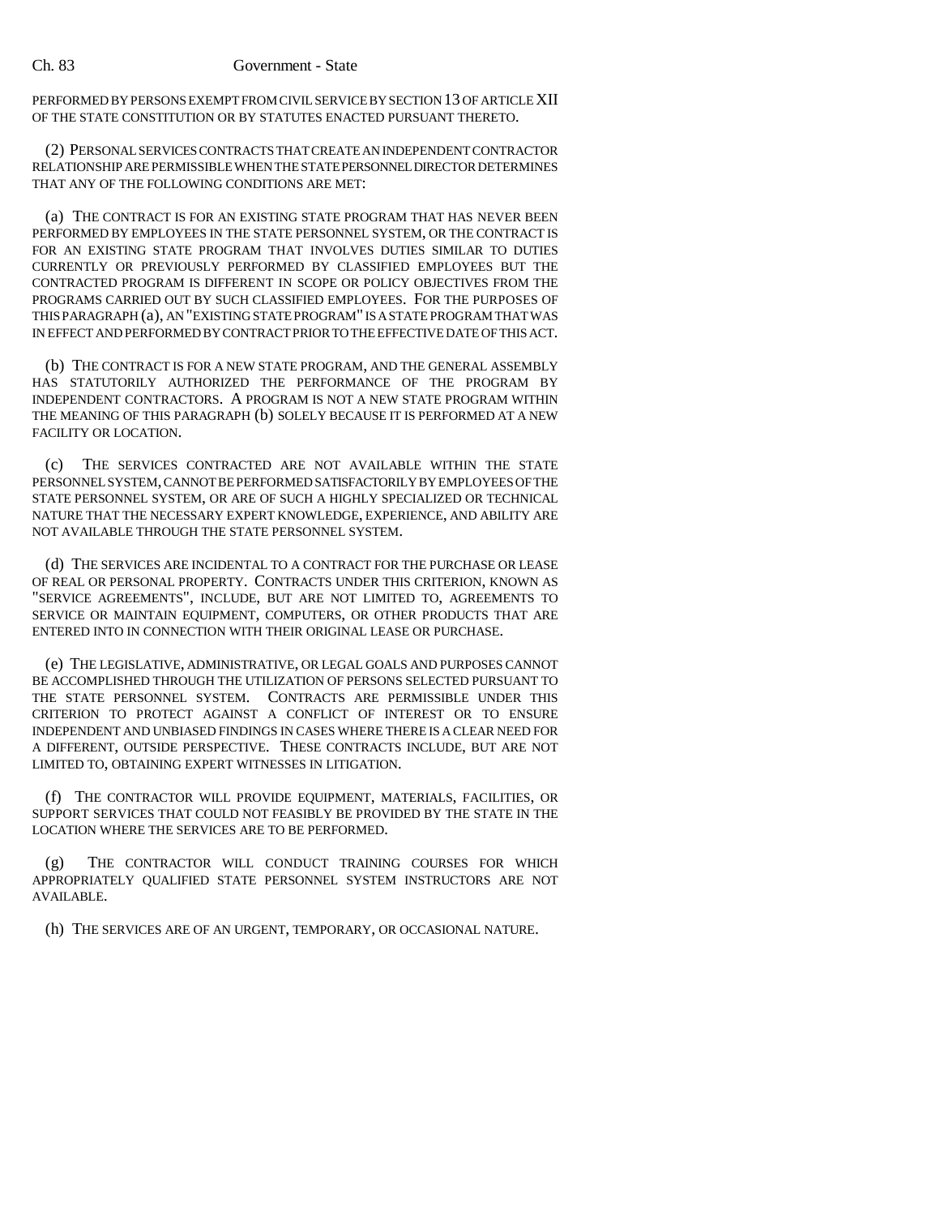## Ch. 83 Government - State

PERFORMED BY PERSONS EXEMPT FROM CIVIL SERVICE BY SECTION 13 OF ARTICLE XII OF THE STATE CONSTITUTION OR BY STATUTES ENACTED PURSUANT THERETO.

(2) PERSONAL SERVICES CONTRACTS THAT CREATE AN INDEPENDENT CONTRACTOR RELATIONSHIP ARE PERMISSIBLE WHEN THE STATE PERSONNEL DIRECTOR DETERMINES THAT ANY OF THE FOLLOWING CONDITIONS ARE MET:

(a) THE CONTRACT IS FOR AN EXISTING STATE PROGRAM THAT HAS NEVER BEEN PERFORMED BY EMPLOYEES IN THE STATE PERSONNEL SYSTEM, OR THE CONTRACT IS FOR AN EXISTING STATE PROGRAM THAT INVOLVES DUTIES SIMILAR TO DUTIES CURRENTLY OR PREVIOUSLY PERFORMED BY CLASSIFIED EMPLOYEES BUT THE CONTRACTED PROGRAM IS DIFFERENT IN SCOPE OR POLICY OBJECTIVES FROM THE PROGRAMS CARRIED OUT BY SUCH CLASSIFIED EMPLOYEES. FOR THE PURPOSES OF THIS PARAGRAPH (a), AN "EXISTING STATE PROGRAM" IS A STATE PROGRAM THAT WAS IN EFFECT AND PERFORMED BY CONTRACT PRIOR TO THE EFFECTIVE DATE OF THIS ACT.

(b) THE CONTRACT IS FOR A NEW STATE PROGRAM, AND THE GENERAL ASSEMBLY HAS STATUTORILY AUTHORIZED THE PERFORMANCE OF THE PROGRAM BY INDEPENDENT CONTRACTORS. A PROGRAM IS NOT A NEW STATE PROGRAM WITHIN THE MEANING OF THIS PARAGRAPH (b) SOLELY BECAUSE IT IS PERFORMED AT A NEW FACILITY OR LOCATION.

(c) THE SERVICES CONTRACTED ARE NOT AVAILABLE WITHIN THE STATE PERSONNEL SYSTEM, CANNOT BE PERFORMED SATISFACTORILY BY EMPLOYEES OF THE STATE PERSONNEL SYSTEM, OR ARE OF SUCH A HIGHLY SPECIALIZED OR TECHNICAL NATURE THAT THE NECESSARY EXPERT KNOWLEDGE, EXPERIENCE, AND ABILITY ARE NOT AVAILABLE THROUGH THE STATE PERSONNEL SYSTEM.

(d) THE SERVICES ARE INCIDENTAL TO A CONTRACT FOR THE PURCHASE OR LEASE OF REAL OR PERSONAL PROPERTY. CONTRACTS UNDER THIS CRITERION, KNOWN AS "SERVICE AGREEMENTS", INCLUDE, BUT ARE NOT LIMITED TO, AGREEMENTS TO SERVICE OR MAINTAIN EQUIPMENT, COMPUTERS, OR OTHER PRODUCTS THAT ARE ENTERED INTO IN CONNECTION WITH THEIR ORIGINAL LEASE OR PURCHASE.

(e) THE LEGISLATIVE, ADMINISTRATIVE, OR LEGAL GOALS AND PURPOSES CANNOT BE ACCOMPLISHED THROUGH THE UTILIZATION OF PERSONS SELECTED PURSUANT TO THE STATE PERSONNEL SYSTEM. CONTRACTS ARE PERMISSIBLE UNDER THIS CRITERION TO PROTECT AGAINST A CONFLICT OF INTEREST OR TO ENSURE INDEPENDENT AND UNBIASED FINDINGS IN CASES WHERE THERE IS A CLEAR NEED FOR A DIFFERENT, OUTSIDE PERSPECTIVE. THESE CONTRACTS INCLUDE, BUT ARE NOT LIMITED TO, OBTAINING EXPERT WITNESSES IN LITIGATION.

(f) THE CONTRACTOR WILL PROVIDE EQUIPMENT, MATERIALS, FACILITIES, OR SUPPORT SERVICES THAT COULD NOT FEASIBLY BE PROVIDED BY THE STATE IN THE LOCATION WHERE THE SERVICES ARE TO BE PERFORMED.

(g) THE CONTRACTOR WILL CONDUCT TRAINING COURSES FOR WHICH APPROPRIATELY QUALIFIED STATE PERSONNEL SYSTEM INSTRUCTORS ARE NOT AVAILABLE.

(h) THE SERVICES ARE OF AN URGENT, TEMPORARY, OR OCCASIONAL NATURE.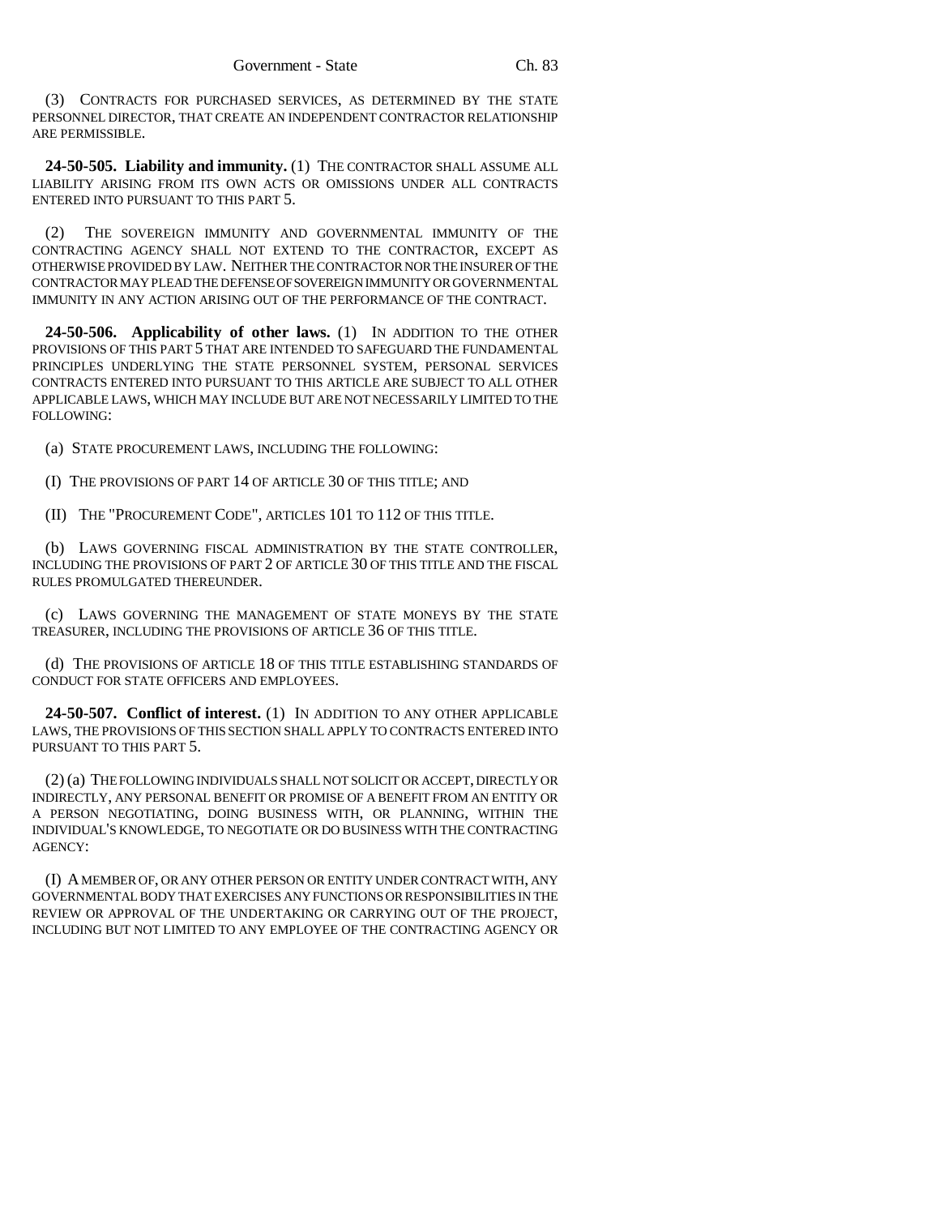(3) CONTRACTS FOR PURCHASED SERVICES, AS DETERMINED BY THE STATE PERSONNEL DIRECTOR, THAT CREATE AN INDEPENDENT CONTRACTOR RELATIONSHIP ARE PERMISSIBLE.

**24-50-505. Liability and immunity.** (1) THE CONTRACTOR SHALL ASSUME ALL LIABILITY ARISING FROM ITS OWN ACTS OR OMISSIONS UNDER ALL CONTRACTS ENTERED INTO PURSUANT TO THIS PART 5.

(2) THE SOVEREIGN IMMUNITY AND GOVERNMENTAL IMMUNITY OF THE CONTRACTING AGENCY SHALL NOT EXTEND TO THE CONTRACTOR, EXCEPT AS OTHERWISE PROVIDED BY LAW. NEITHER THE CONTRACTOR NOR THE INSURER OF THE CONTRACTOR MAY PLEAD THE DEFENSE OF SOVEREIGN IMMUNITY OR GOVERNMENTAL IMMUNITY IN ANY ACTION ARISING OUT OF THE PERFORMANCE OF THE CONTRACT.

**24-50-506. Applicability of other laws.** (1) IN ADDITION TO THE OTHER PROVISIONS OF THIS PART 5 THAT ARE INTENDED TO SAFEGUARD THE FUNDAMENTAL PRINCIPLES UNDERLYING THE STATE PERSONNEL SYSTEM, PERSONAL SERVICES CONTRACTS ENTERED INTO PURSUANT TO THIS ARTICLE ARE SUBJECT TO ALL OTHER APPLICABLE LAWS, WHICH MAY INCLUDE BUT ARE NOT NECESSARILY LIMITED TO THE FOLLOWING:

(a) STATE PROCUREMENT LAWS, INCLUDING THE FOLLOWING:

(I) THE PROVISIONS OF PART 14 OF ARTICLE 30 OF THIS TITLE; AND

(II) THE "PROCUREMENT CODE", ARTICLES 101 TO 112 OF THIS TITLE.

(b) LAWS GOVERNING FISCAL ADMINISTRATION BY THE STATE CONTROLLER, INCLUDING THE PROVISIONS OF PART 2 OF ARTICLE 30 OF THIS TITLE AND THE FISCAL RULES PROMULGATED THEREUNDER.

(c) LAWS GOVERNING THE MANAGEMENT OF STATE MONEYS BY THE STATE TREASURER, INCLUDING THE PROVISIONS OF ARTICLE 36 OF THIS TITLE.

(d) THE PROVISIONS OF ARTICLE 18 OF THIS TITLE ESTABLISHING STANDARDS OF CONDUCT FOR STATE OFFICERS AND EMPLOYEES.

**24-50-507. Conflict of interest.** (1) IN ADDITION TO ANY OTHER APPLICABLE LAWS, THE PROVISIONS OF THIS SECTION SHALL APPLY TO CONTRACTS ENTERED INTO PURSUANT TO THIS PART 5.

(2) (a) THE FOLLOWING INDIVIDUALS SHALL NOT SOLICIT OR ACCEPT, DIRECTLY OR INDIRECTLY, ANY PERSONAL BENEFIT OR PROMISE OF A BENEFIT FROM AN ENTITY OR A PERSON NEGOTIATING, DOING BUSINESS WITH, OR PLANNING, WITHIN THE INDIVIDUAL'S KNOWLEDGE, TO NEGOTIATE OR DO BUSINESS WITH THE CONTRACTING AGENCY:

(I) A MEMBER OF, OR ANY OTHER PERSON OR ENTITY UNDER CONTRACT WITH, ANY GOVERNMENTAL BODY THAT EXERCISES ANY FUNCTIONS OR RESPONSIBILITIES IN THE REVIEW OR APPROVAL OF THE UNDERTAKING OR CARRYING OUT OF THE PROJECT, INCLUDING BUT NOT LIMITED TO ANY EMPLOYEE OF THE CONTRACTING AGENCY OR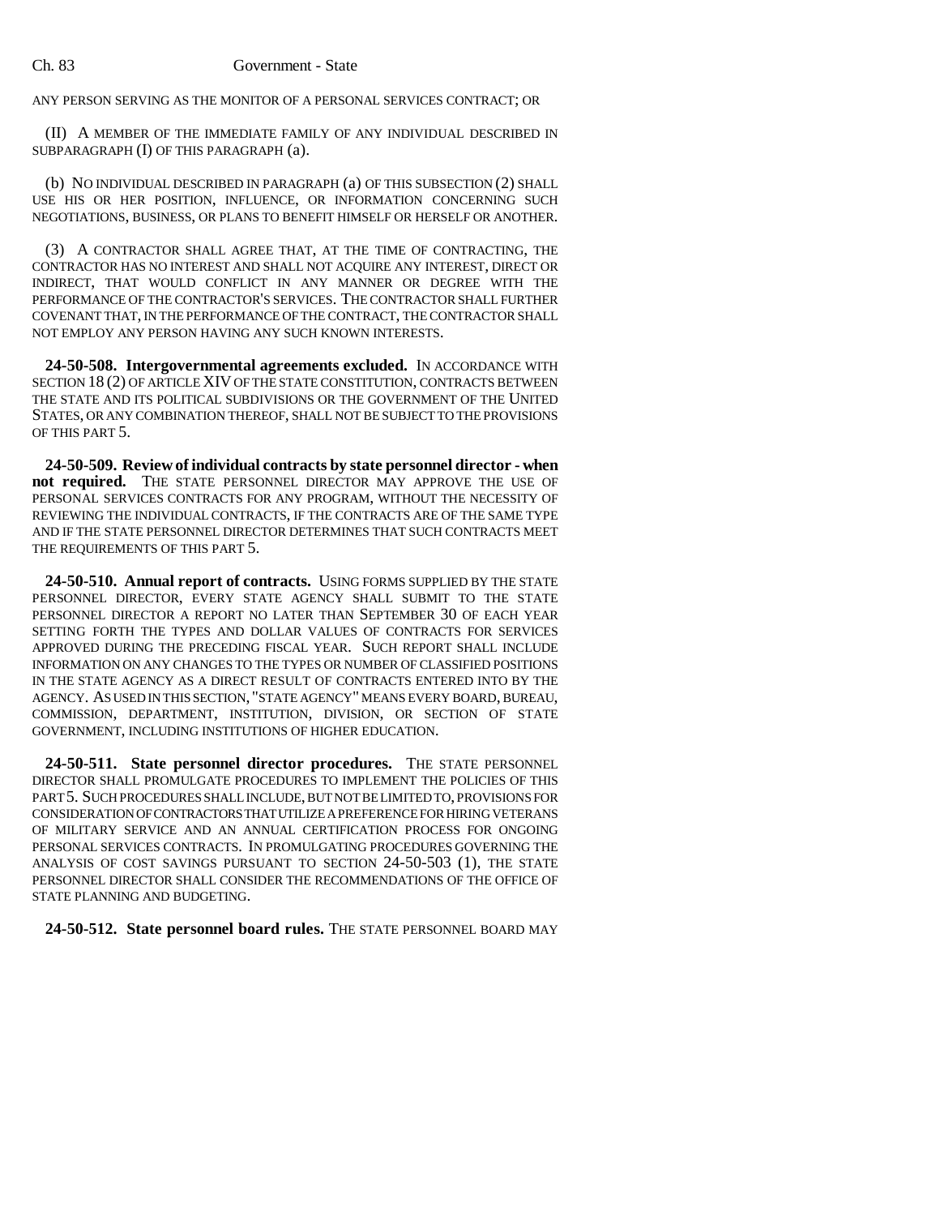## Ch. 83 Government - State

ANY PERSON SERVING AS THE MONITOR OF A PERSONAL SERVICES CONTRACT; OR

(II) A MEMBER OF THE IMMEDIATE FAMILY OF ANY INDIVIDUAL DESCRIBED IN SUBPARAGRAPH (I) OF THIS PARAGRAPH (a).

(b) NO INDIVIDUAL DESCRIBED IN PARAGRAPH (a) OF THIS SUBSECTION (2) SHALL USE HIS OR HER POSITION, INFLUENCE, OR INFORMATION CONCERNING SUCH NEGOTIATIONS, BUSINESS, OR PLANS TO BENEFIT HIMSELF OR HERSELF OR ANOTHER.

(3) A CONTRACTOR SHALL AGREE THAT, AT THE TIME OF CONTRACTING, THE CONTRACTOR HAS NO INTEREST AND SHALL NOT ACQUIRE ANY INTEREST, DIRECT OR INDIRECT, THAT WOULD CONFLICT IN ANY MANNER OR DEGREE WITH THE PERFORMANCE OF THE CONTRACTOR'S SERVICES. THE CONTRACTOR SHALL FURTHER COVENANT THAT, IN THE PERFORMANCE OF THE CONTRACT, THE CONTRACTOR SHALL NOT EMPLOY ANY PERSON HAVING ANY SUCH KNOWN INTERESTS.

**24-50-508. Intergovernmental agreements excluded.** IN ACCORDANCE WITH SECTION 18 (2) OF ARTICLE XIV OF THE STATE CONSTITUTION, CONTRACTS BETWEEN THE STATE AND ITS POLITICAL SUBDIVISIONS OR THE GOVERNMENT OF THE UNITED STATES, OR ANY COMBINATION THEREOF, SHALL NOT BE SUBJECT TO THE PROVISIONS OF THIS PART 5.

**24-50-509. Review of individual contracts by state personnel director - when not required.** THE STATE PERSONNEL DIRECTOR MAY APPROVE THE USE OF PERSONAL SERVICES CONTRACTS FOR ANY PROGRAM, WITHOUT THE NECESSITY OF REVIEWING THE INDIVIDUAL CONTRACTS, IF THE CONTRACTS ARE OF THE SAME TYPE AND IF THE STATE PERSONNEL DIRECTOR DETERMINES THAT SUCH CONTRACTS MEET THE REQUIREMENTS OF THIS PART 5.

**24-50-510. Annual report of contracts.** USING FORMS SUPPLIED BY THE STATE PERSONNEL DIRECTOR, EVERY STATE AGENCY SHALL SUBMIT TO THE STATE PERSONNEL DIRECTOR A REPORT NO LATER THAN SEPTEMBER 30 OF EACH YEAR SETTING FORTH THE TYPES AND DOLLAR VALUES OF CONTRACTS FOR SERVICES APPROVED DURING THE PRECEDING FISCAL YEAR. SUCH REPORT SHALL INCLUDE INFORMATION ON ANY CHANGES TO THE TYPES OR NUMBER OF CLASSIFIED POSITIONS IN THE STATE AGENCY AS A DIRECT RESULT OF CONTRACTS ENTERED INTO BY THE AGENCY. AS USED IN THIS SECTION, "STATE AGENCY" MEANS EVERY BOARD, BUREAU, COMMISSION, DEPARTMENT, INSTITUTION, DIVISION, OR SECTION OF STATE GOVERNMENT, INCLUDING INSTITUTIONS OF HIGHER EDUCATION.

**24-50-511. State personnel director procedures.** THE STATE PERSONNEL DIRECTOR SHALL PROMULGATE PROCEDURES TO IMPLEMENT THE POLICIES OF THIS PART 5. SUCH PROCEDURES SHALL INCLUDE, BUT NOT BE LIMITED TO, PROVISIONS FOR CONSIDERATION OF CONTRACTORS THAT UTILIZE A PREFERENCE FOR HIRING VETERANS OF MILITARY SERVICE AND AN ANNUAL CERTIFICATION PROCESS FOR ONGOING PERSONAL SERVICES CONTRACTS. IN PROMULGATING PROCEDURES GOVERNING THE ANALYSIS OF COST SAVINGS PURSUANT TO SECTION 24-50-503 (1), THE STATE PERSONNEL DIRECTOR SHALL CONSIDER THE RECOMMENDATIONS OF THE OFFICE OF STATE PLANNING AND BUDGETING.

**24-50-512. State personnel board rules.** THE STATE PERSONNEL BOARD MAY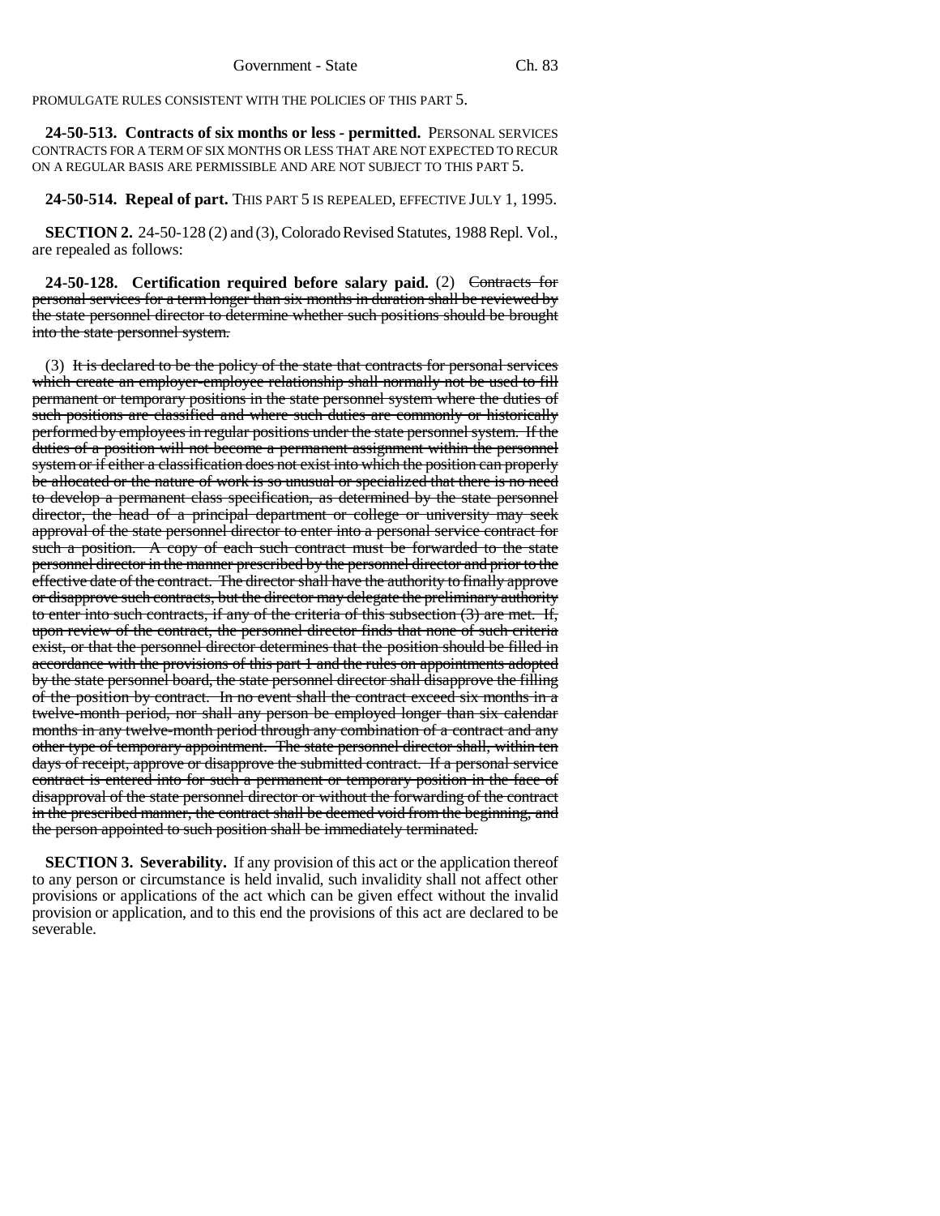PROMULGATE RULES CONSISTENT WITH THE POLICIES OF THIS PART 5.

**24-50-513. Contracts of six months or less - permitted.** PERSONAL SERVICES CONTRACTS FOR A TERM OF SIX MONTHS OR LESS THAT ARE NOT EXPECTED TO RECUR ON A REGULAR BASIS ARE PERMISSIBLE AND ARE NOT SUBJECT TO THIS PART 5.

**24-50-514. Repeal of part.** THIS PART 5 IS REPEALED, EFFECTIVE JULY 1, 1995.

**SECTION 2.** 24-50-128 (2) and (3), Colorado Revised Statutes, 1988 Repl. Vol., are repealed as follows:

**24-50-128. Certification required before salary paid.** (2) Contracts for personal services for a term longer than six months in duration shall be reviewed by the state personnel director to determine whether such positions should be brought into the state personnel system.

(3) It is declared to be the policy of the state that contracts for personal services which create an employer-employee relationship shall normally not be used to fill permanent or temporary positions in the state personnel system where the duties of such positions are classified and where such duties are commonly or historically performed by employees in regular positions under the state personnel system. If the duties of a position will not become a permanent assignment within the personnel system or if either a classification does not exist into which the position can properly be allocated or the nature of work is so unusual or specialized that there is no need to develop a permanent class specification, as determined by the state personnel director, the head of a principal department or college or university may seek approval of the state personnel director to enter into a personal service contract for such a position. A copy of each such contract must be forwarded to the state personnel director in the manner prescribed by the personnel director and prior to the effective date of the contract. The director shall have the authority to finally approve or disapprove such contracts, but the director may delegate the preliminary authority to enter into such contracts, if any of the criteria of this subsection (3) are met. If, upon review of the contract, the personnel director finds that none of such criteria exist, or that the personnel director determines that the position should be filled in accordance with the provisions of this part 1 and the rules on appointments adopted by the state personnel board, the state personnel director shall disapprove the filling of the position by contract. In no event shall the contract exceed six months in a twelve-month period, nor shall any person be employed longer than six calendar months in any twelve-month period through any combination of a contract and any other type of temporary appointment. The state personnel director shall, within ten days of receipt, approve or disapprove the submitted contract. If a personal service contract is entered into for such a permanent or temporary position in the face of disapproval of the state personnel director or without the forwarding of the contract in the prescribed manner, the contract shall be deemed void from the beginning, and the person appointed to such position shall be immediately terminated.

**SECTION 3. Severability.** If any provision of this act or the application thereof to any person or circumstance is held invalid, such invalidity shall not affect other provisions or applications of the act which can be given effect without the invalid provision or application, and to this end the provisions of this act are declared to be severable.